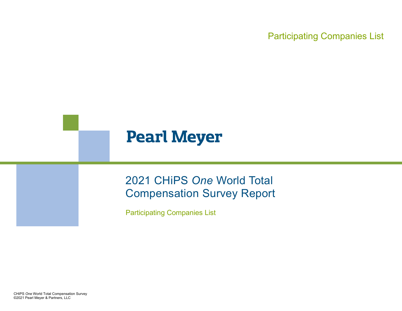# **Pearl Meyer**

# 2021 CHiPS *One* World Total Compensation Survey Report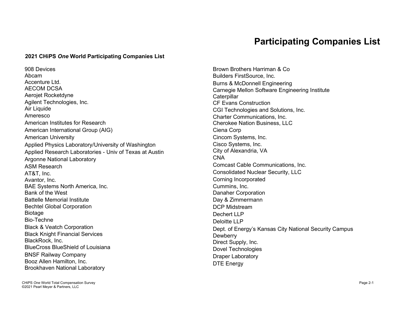#### **2021 CHiPS** *One* **World Participating Companies List**

908 Devices Abcam Accenture Ltd. AECOM DCSA Aerojet Rocketdyne Agilent Technologies, Inc. Air Liquide Ameresco American Institutes for Research American International Group (AIG) American University Applied Physics Laboratory/University of Washington Applied Research Laboratories - Univ of Texas at Austin Argonne National Laboratory ASM Research AT&T, Inc. Avantor, Inc. BAE Systems North America, Inc. Bank of the West Battelle Memorial Institute Bechtel Global Corporation Biotage Bio-Techne Black & Veatch Corporation Black Knight Financial Services BlackRock, Inc. BlueCross BlueShield of Louisiana BNSF Railway Company Booz Allen Hamilton, Inc. Brookhaven National Laboratory

Brown Brothers Harriman & Co Builders FirstSource, Inc. Burns & McDonnell Engineering Carnegie Mellon Software Engineering Institute **Caterpillar** CF Evans Construction CGI Technologies and Solutions, Inc. Charter Communications, Inc. Cherokee Nation Business, LLC Ciena Corp Cincom Systems, Inc. Cisco Systems, Inc. City of Alexandria, VA CNA Comcast Cable Communications, Inc. Consolidated Nuclear Security, LLC Corning Incorporated Cummins, Inc. Danaher Corporation Day & Zimmermann DCP Midstream Dechert LLP Deloitte LLP Dept. of Energy's Kansas City National Security Campus **Dewberry** Direct Supply, Inc. Dovel Technologies Draper Laboratory DTE Energy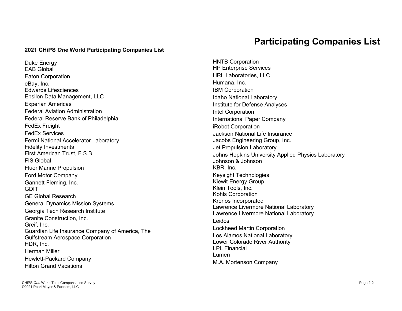#### **2021 CHiPS** *One* **World Participating Companies List**

Duke Energy EAB Global Eaton Corporation eBay, Inc. Edwards Lifesciences Epsilon Data Management, LLC Experian Americas Federal Aviation Administration Federal Reserve Bank of Philadelphia FedEx Freight FedEx Services Fermi National Accelerator Laboratory Fidelity Investments First American Trust, F.S.B. FIS Global Fluor Marine Propulsion Ford Motor Company Gannett Fleming, Inc. GDIT GE Global Research General Dynamics Mission Systems Georgia Tech Research Institute Granite Construction, Inc. Greif, Inc. Guardian Life Insurance Company of America, The Gulfstream Aerospace Corporation HDR, Inc. Herman Miller Hewlett-Packard Company Hilton Grand Vacations

#### **Participating Companies List**

HNTB Corporation HP Enterprise Services HRL Laboratories, LLC Humana, Inc. IBM Corporation Idaho National Laboratory Institute for Defense Analyses Intel Corporation International Paper Company iRobot Corporation Jackson National Life Insurance Jacobs Engineering Group, Inc. Jet Propulsion Laboratory Johns Hopkins University Applied Physics Laboratory Johnson & Johnson KBR, Inc. Keysight Technologies Kiewit Energy Group Klein Tools, Inc. Kohls Corporation Kronos Incorporated Lawrence Livermore National Laboratory Lawrence Livermore National Laboratory Leidos Lockheed Martin Corporation Los Alamos National Laboratory Lower Colorado River Authority LPL Financial Lumen M.A. Mortenson Company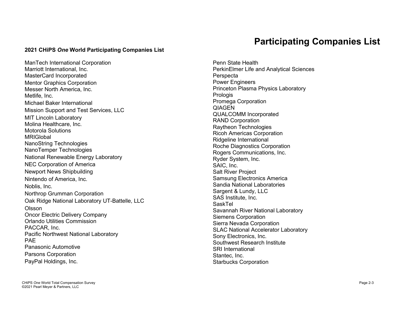#### **2021 CHiPS** *One* **World Participating Companies List**

ManTech International Corporation Marriott International, Inc. MasterCard Incorporated Mentor Graphics Corporation Messer North America, Inc. Metlife, Inc. Michael Baker International Mission Support and Test Services, LLC MIT Lincoln Laboratory Molina Healthcare, Inc. Motorola Solutions MRIGlobal NanoString Technologies NanoTemper Technologies National Renewable Energy Laboratory NEC Corporation of America Newport News Shipbuilding Nintendo of America, Inc. Noblis, Inc. Northrop Grumman Corporation Oak Ridge National Laboratory UT-Battelle, LLC Olsson Oncor Electric Delivery Company Orlando Utilities Commission PACCAR, Inc. Pacific Northwest National Laboratory PAE Panasonic Automotive Parsons Corporation PayPal Holdings, Inc.

Penn State Health PerkinElmer Life and Analytical Sciences Perspecta Power Engineers Princeton Plasma Physics Laboratory **Prologis** Promega Corporation **QIAGEN** QUALCOMM Incorporated RAND Corporation Raytheon Technologies Ricoh Americas Corporation Ridgeline International Roche Diagnostics Corporation Rogers Communications, Inc. Ryder System, Inc. SAIC, Inc. Salt River Project Samsung Electronics America Sandia National Laboratories Sargent & Lundy, LLC SAS Institute, Inc. SaskTel Savannah River National Laboratory Siemens Corporation Sierra Nevada Corporation SLAC National Accelerator Laboratory Sony Electronics, Inc. Southwest Research Institute SRI International Stantec, Inc. Starbucks Corporation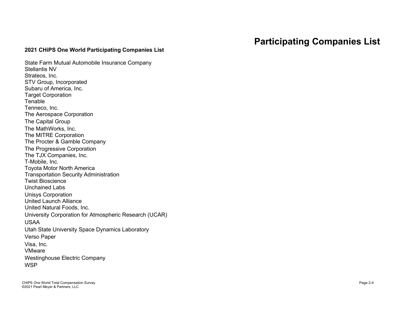#### **2021 CHiPS One World Participating Companies List**

State Farm Mutual Automobile Insurance Company Stellantis NV Strateos, Inc. STV Group, Incorporated Subaru of America, Inc. Target Corporation Tenable Tenneco, Inc. The Aerospace Corporation The Capital Group The MathWorks, Inc. The MITRE Corporation The Procter & Gamble Company The Progressive Corporation The TJX Companies, Inc. T-Mobile, Inc. Toyota Motor North America Transportation Security Administration Twist Bioscience Unchained Labs Unisys Corporation United Launch Alliance United Natural Foods, Inc. University Corporation for Atmospheric Research (UCAR) USAA Utah State University Space Dynamics Laboratory Verso Paper Visa, Inc. VMware Westinghouse Electric Company **WSP**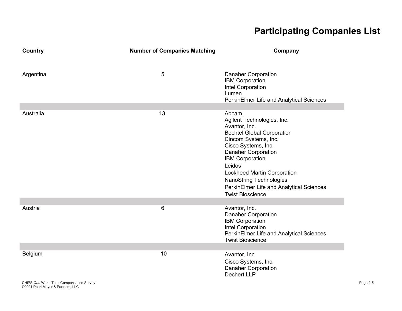| Country                                              | <b>Number of Companies Matching</b> | Company                                                                                                                                                                                                                                                                                                                                                   |          |
|------------------------------------------------------|-------------------------------------|-----------------------------------------------------------------------------------------------------------------------------------------------------------------------------------------------------------------------------------------------------------------------------------------------------------------------------------------------------------|----------|
| Argentina                                            | 5                                   | <b>Danaher Corporation</b><br><b>IBM Corporation</b><br>Intel Corporation<br>Lumen<br>PerkinElmer Life and Analytical Sciences                                                                                                                                                                                                                            |          |
| Australia                                            | 13                                  | Abcam<br>Agilent Technologies, Inc.<br>Avantor, Inc.<br><b>Bechtel Global Corporation</b><br>Cincom Systems, Inc.<br>Cisco Systems, Inc.<br><b>Danaher Corporation</b><br><b>IBM Corporation</b><br>Leidos<br><b>Lockheed Martin Corporation</b><br><b>NanoString Technologies</b><br>PerkinElmer Life and Analytical Sciences<br><b>Twist Bioscience</b> |          |
| Austria                                              | $\,6$                               | Avantor, Inc.<br><b>Danaher Corporation</b><br><b>IBM Corporation</b><br>Intel Corporation<br>PerkinElmer Life and Analytical Sciences<br><b>Twist Bioscience</b>                                                                                                                                                                                         |          |
| Belgium<br>CHiPS One World Total Compensation Survey | 10                                  | Avantor, Inc.<br>Cisco Systems, Inc.<br><b>Danaher Corporation</b><br><b>Dechert LLP</b>                                                                                                                                                                                                                                                                  | Page 2-5 |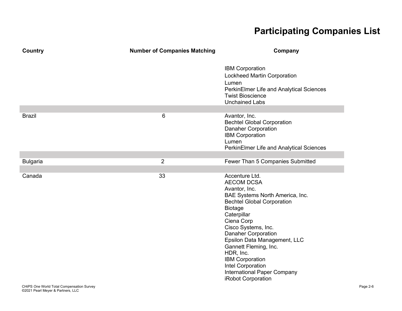| Country         | <b>Number of Companies Matching</b> | Company                                                                                                                                                                                                                                                                                                                                                                                                    |
|-----------------|-------------------------------------|------------------------------------------------------------------------------------------------------------------------------------------------------------------------------------------------------------------------------------------------------------------------------------------------------------------------------------------------------------------------------------------------------------|
|                 |                                     | <b>IBM Corporation</b><br><b>Lockheed Martin Corporation</b><br>Lumen<br>PerkinElmer Life and Analytical Sciences<br><b>Twist Bioscience</b><br><b>Unchained Labs</b>                                                                                                                                                                                                                                      |
| <b>Brazil</b>   | 6                                   | Avantor, Inc.<br><b>Bechtel Global Corporation</b><br><b>Danaher Corporation</b><br><b>IBM Corporation</b><br>Lumen<br>PerkinElmer Life and Analytical Sciences                                                                                                                                                                                                                                            |
| <b>Bulgaria</b> | $\overline{2}$                      | Fewer Than 5 Companies Submitted                                                                                                                                                                                                                                                                                                                                                                           |
| Canada          | 33                                  | Accenture Ltd.<br><b>AECOM DCSA</b><br>Avantor, Inc.<br>BAE Systems North America, Inc.<br><b>Bechtel Global Corporation</b><br><b>Biotage</b><br>Caterpillar<br>Ciena Corp<br>Cisco Systems, Inc.<br><b>Danaher Corporation</b><br>Epsilon Data Management, LLC<br>Gannett Fleming, Inc.<br>HDR, Inc.<br><b>IBM Corporation</b><br>Intel Corporation<br>International Paper Company<br>iRobot Corporation |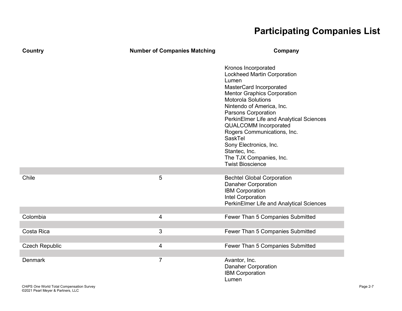| <b>Country</b>                                              | <b>Number of Companies Matching</b> | Company                                                                                                                                                                                                                                                                                                                                                                                                                       |
|-------------------------------------------------------------|-------------------------------------|-------------------------------------------------------------------------------------------------------------------------------------------------------------------------------------------------------------------------------------------------------------------------------------------------------------------------------------------------------------------------------------------------------------------------------|
|                                                             |                                     | Kronos Incorporated<br>Lockheed Martin Corporation<br>Lumen<br>MasterCard Incorporated<br><b>Mentor Graphics Corporation</b><br>Motorola Solutions<br>Nintendo of America, Inc.<br>Parsons Corporation<br>PerkinElmer Life and Analytical Sciences<br><b>QUALCOMM Incorporated</b><br>Rogers Communications, Inc.<br>SaskTel<br>Sony Electronics, Inc.<br>Stantec, Inc.<br>The TJX Companies, Inc.<br><b>Twist Bioscience</b> |
|                                                             |                                     |                                                                                                                                                                                                                                                                                                                                                                                                                               |
| Chile                                                       | 5                                   | <b>Bechtel Global Corporation</b><br><b>Danaher Corporation</b><br><b>IBM Corporation</b><br>Intel Corporation<br>PerkinElmer Life and Analytical Sciences                                                                                                                                                                                                                                                                    |
| Colombia                                                    | 4                                   | Fewer Than 5 Companies Submitted                                                                                                                                                                                                                                                                                                                                                                                              |
|                                                             |                                     |                                                                                                                                                                                                                                                                                                                                                                                                                               |
| Costa Rica                                                  | 3                                   | Fewer Than 5 Companies Submitted                                                                                                                                                                                                                                                                                                                                                                                              |
|                                                             |                                     |                                                                                                                                                                                                                                                                                                                                                                                                                               |
| <b>Czech Republic</b>                                       | 4                                   | Fewer Than 5 Companies Submitted                                                                                                                                                                                                                                                                                                                                                                                              |
| <b>Denmark</b><br>CHIPS One World Total Compensation Survey | $\overline{7}$                      | Avantor, Inc.<br><b>Danaher Corporation</b><br><b>IBM Corporation</b><br>Lumen                                                                                                                                                                                                                                                                                                                                                |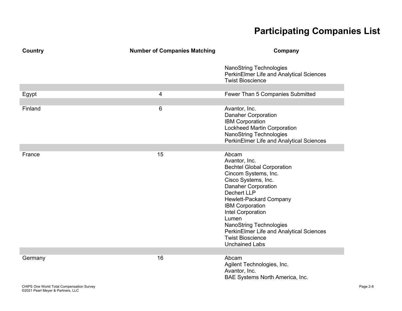| Country                                   | <b>Number of Companies Matching</b> | Company                                                                                                                                                                                                                                                                                                                                                                           |
|-------------------------------------------|-------------------------------------|-----------------------------------------------------------------------------------------------------------------------------------------------------------------------------------------------------------------------------------------------------------------------------------------------------------------------------------------------------------------------------------|
|                                           |                                     | <b>NanoString Technologies</b><br>PerkinElmer Life and Analytical Sciences<br><b>Twist Bioscience</b>                                                                                                                                                                                                                                                                             |
| Egypt                                     | 4                                   | Fewer Than 5 Companies Submitted                                                                                                                                                                                                                                                                                                                                                  |
|                                           |                                     |                                                                                                                                                                                                                                                                                                                                                                                   |
| Finland                                   | 6                                   | Avantor, Inc.<br><b>Danaher Corporation</b><br><b>IBM Corporation</b><br><b>Lockheed Martin Corporation</b><br><b>NanoString Technologies</b><br>PerkinElmer Life and Analytical Sciences                                                                                                                                                                                         |
| France                                    | 15                                  | Abcam                                                                                                                                                                                                                                                                                                                                                                             |
|                                           |                                     | Avantor, Inc.<br><b>Bechtel Global Corporation</b><br>Cincom Systems, Inc.<br>Cisco Systems, Inc.<br><b>Danaher Corporation</b><br><b>Dechert LLP</b><br><b>Hewlett-Packard Company</b><br><b>IBM Corporation</b><br>Intel Corporation<br>Lumen<br><b>NanoString Technologies</b><br>PerkinElmer Life and Analytical Sciences<br><b>Twist Bioscience</b><br><b>Unchained Labs</b> |
| Germany                                   | 16                                  | Abcam                                                                                                                                                                                                                                                                                                                                                                             |
|                                           |                                     | Agilent Technologies, Inc.<br>Avantor, Inc.<br>BAE Systems North America, Inc.                                                                                                                                                                                                                                                                                                    |
| CHIPS One World Total Compensation Survey |                                     |                                                                                                                                                                                                                                                                                                                                                                                   |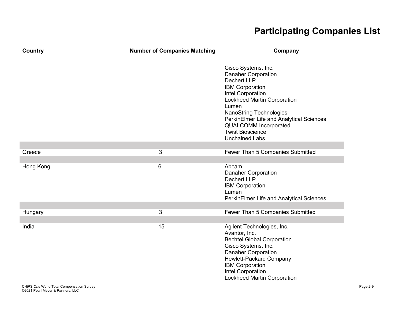| <b>Country</b> | <b>Number of Companies Matching</b> | Company                                                                                                                                                                                                                                                                                                                          |
|----------------|-------------------------------------|----------------------------------------------------------------------------------------------------------------------------------------------------------------------------------------------------------------------------------------------------------------------------------------------------------------------------------|
|                |                                     | Cisco Systems, Inc.<br><b>Danaher Corporation</b><br><b>Dechert LLP</b><br><b>IBM Corporation</b><br>Intel Corporation<br>Lockheed Martin Corporation<br>Lumen<br><b>NanoString Technologies</b><br>PerkinElmer Life and Analytical Sciences<br><b>QUALCOMM Incorporated</b><br><b>Twist Bioscience</b><br><b>Unchained Labs</b> |
| Greece         | 3                                   | Fewer Than 5 Companies Submitted                                                                                                                                                                                                                                                                                                 |
|                |                                     |                                                                                                                                                                                                                                                                                                                                  |
| Hong Kong      | 6                                   | Abcam<br><b>Danaher Corporation</b><br><b>Dechert LLP</b><br><b>IBM Corporation</b><br>Lumen<br>PerkinElmer Life and Analytical Sciences                                                                                                                                                                                         |
|                | 3                                   | Fewer Than 5 Companies Submitted                                                                                                                                                                                                                                                                                                 |
| Hungary        |                                     |                                                                                                                                                                                                                                                                                                                                  |
| India          | 15                                  | Agilent Technologies, Inc.<br>Avantor, Inc.<br><b>Bechtel Global Corporation</b><br>Cisco Systems, Inc.<br><b>Danaher Corporation</b><br><b>Hewlett-Packard Company</b><br><b>IBM Corporation</b><br>Intel Corporation<br><b>Lockheed Martin Corporation</b>                                                                     |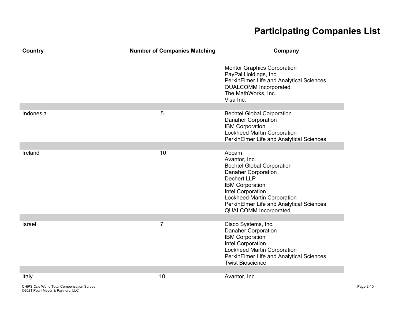| Country   | <b>Number of Companies Matching</b> | Company                                                                                                                                                                                                                                                                          |
|-----------|-------------------------------------|----------------------------------------------------------------------------------------------------------------------------------------------------------------------------------------------------------------------------------------------------------------------------------|
|           |                                     | <b>Mentor Graphics Corporation</b><br>PayPal Holdings, Inc.<br>PerkinElmer Life and Analytical Sciences<br><b>QUALCOMM Incorporated</b><br>The MathWorks, Inc.<br>Visa Inc.                                                                                                      |
| Indonesia | 5                                   | <b>Bechtel Global Corporation</b><br><b>Danaher Corporation</b><br><b>IBM Corporation</b><br><b>Lockheed Martin Corporation</b><br>PerkinElmer Life and Analytical Sciences                                                                                                      |
| Ireland   | 10                                  | Abcam<br>Avantor, Inc.<br><b>Bechtel Global Corporation</b><br><b>Danaher Corporation</b><br><b>Dechert LLP</b><br><b>IBM Corporation</b><br>Intel Corporation<br><b>Lockheed Martin Corporation</b><br>PerkinElmer Life and Analytical Sciences<br><b>QUALCOMM Incorporated</b> |
| Israel    | $\overline{7}$                      | Cisco Systems, Inc.<br><b>Danaher Corporation</b><br><b>IBM Corporation</b><br>Intel Corporation<br><b>Lockheed Martin Corporation</b><br>PerkinElmer Life and Analytical Sciences<br><b>Twist Bioscience</b>                                                                    |
| Italy     | 10                                  | Avantor, Inc.                                                                                                                                                                                                                                                                    |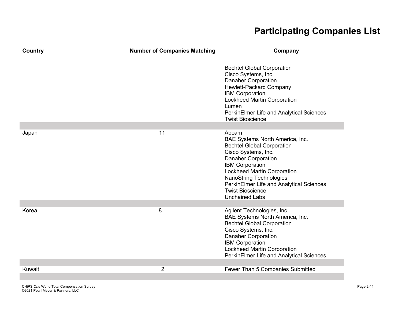| Country | <b>Number of Companies Matching</b> | Company                                                                                                                                                                                                                                                                                                                     |
|---------|-------------------------------------|-----------------------------------------------------------------------------------------------------------------------------------------------------------------------------------------------------------------------------------------------------------------------------------------------------------------------------|
|         |                                     | <b>Bechtel Global Corporation</b><br>Cisco Systems, Inc.<br><b>Danaher Corporation</b><br>Hewlett-Packard Company<br><b>IBM Corporation</b><br><b>Lockheed Martin Corporation</b><br>Lumen<br>PerkinElmer Life and Analytical Sciences<br><b>Twist Bioscience</b>                                                           |
|         | 11                                  | Abcam                                                                                                                                                                                                                                                                                                                       |
| Japan   |                                     | BAE Systems North America, Inc.<br><b>Bechtel Global Corporation</b><br>Cisco Systems, Inc.<br><b>Danaher Corporation</b><br><b>IBM Corporation</b><br><b>Lockheed Martin Corporation</b><br><b>NanoString Technologies</b><br>PerkinElmer Life and Analytical Sciences<br><b>Twist Bioscience</b><br><b>Unchained Labs</b> |
| Korea   | 8                                   | Agilent Technologies, Inc.<br>BAE Systems North America, Inc.<br><b>Bechtel Global Corporation</b><br>Cisco Systems, Inc.<br><b>Danaher Corporation</b><br><b>IBM Corporation</b><br><b>Lockheed Martin Corporation</b><br>PerkinElmer Life and Analytical Sciences                                                         |
| Kuwait  | 2                                   | Fewer Than 5 Companies Submitted                                                                                                                                                                                                                                                                                            |
|         |                                     |                                                                                                                                                                                                                                                                                                                             |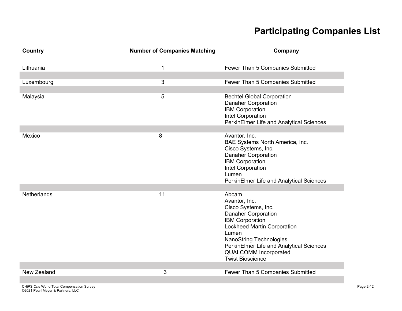| Country            | <b>Number of Companies Matching</b> | Company                                                                                                                                                                                                                                                                                       |
|--------------------|-------------------------------------|-----------------------------------------------------------------------------------------------------------------------------------------------------------------------------------------------------------------------------------------------------------------------------------------------|
| Lithuania          | 1                                   | Fewer Than 5 Companies Submitted                                                                                                                                                                                                                                                              |
| Luxembourg         | 3                                   | Fewer Than 5 Companies Submitted                                                                                                                                                                                                                                                              |
| Malaysia           | 5                                   | <b>Bechtel Global Corporation</b><br><b>Danaher Corporation</b><br><b>IBM Corporation</b><br>Intel Corporation<br>PerkinElmer Life and Analytical Sciences                                                                                                                                    |
| Mexico             | 8                                   | Avantor, Inc.<br>BAE Systems North America, Inc.<br>Cisco Systems, Inc.<br><b>Danaher Corporation</b><br><b>IBM Corporation</b><br>Intel Corporation<br>Lumen<br>PerkinElmer Life and Analytical Sciences                                                                                     |
| Netherlands        | 11                                  | Abcam<br>Avantor, Inc.<br>Cisco Systems, Inc.<br><b>Danaher Corporation</b><br><b>IBM Corporation</b><br><b>Lockheed Martin Corporation</b><br>Lumen<br><b>NanoString Technologies</b><br>PerkinElmer Life and Analytical Sciences<br><b>QUALCOMM Incorporated</b><br><b>Twist Bioscience</b> |
| <b>New Zealand</b> | 3                                   | Fewer Than 5 Companies Submitted                                                                                                                                                                                                                                                              |
|                    |                                     |                                                                                                                                                                                                                                                                                               |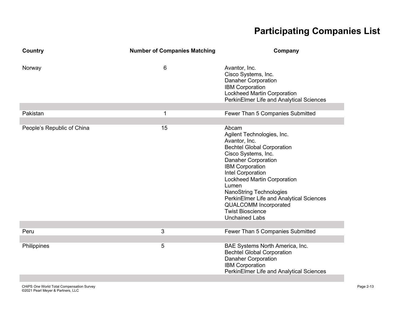| Country                    | <b>Number of Companies Matching</b> | Company                                                                                                                                                                                                                                                                                                                                                                                                 |
|----------------------------|-------------------------------------|---------------------------------------------------------------------------------------------------------------------------------------------------------------------------------------------------------------------------------------------------------------------------------------------------------------------------------------------------------------------------------------------------------|
| Norway                     | 6                                   | Avantor, Inc.<br>Cisco Systems, Inc.<br><b>Danaher Corporation</b><br><b>IBM Corporation</b><br><b>Lockheed Martin Corporation</b><br>PerkinElmer Life and Analytical Sciences                                                                                                                                                                                                                          |
| Pakistan                   | 1                                   | Fewer Than 5 Companies Submitted                                                                                                                                                                                                                                                                                                                                                                        |
|                            |                                     |                                                                                                                                                                                                                                                                                                                                                                                                         |
| People's Republic of China | 15                                  | Abcam<br>Agilent Technologies, Inc.<br>Avantor, Inc.<br><b>Bechtel Global Corporation</b><br>Cisco Systems, Inc.<br><b>Danaher Corporation</b><br><b>IBM Corporation</b><br>Intel Corporation<br>Lockheed Martin Corporation<br>Lumen<br><b>NanoString Technologies</b><br>PerkinElmer Life and Analytical Sciences<br><b>QUALCOMM Incorporated</b><br><b>Twist Bioscience</b><br><b>Unchained Labs</b> |
| Peru                       | 3                                   |                                                                                                                                                                                                                                                                                                                                                                                                         |
|                            |                                     | Fewer Than 5 Companies Submitted                                                                                                                                                                                                                                                                                                                                                                        |
| Philippines                | 5                                   | BAE Systems North America, Inc.<br><b>Bechtel Global Corporation</b><br><b>Danaher Corporation</b><br><b>IBM Corporation</b><br>PerkinElmer Life and Analytical Sciences                                                                                                                                                                                                                                |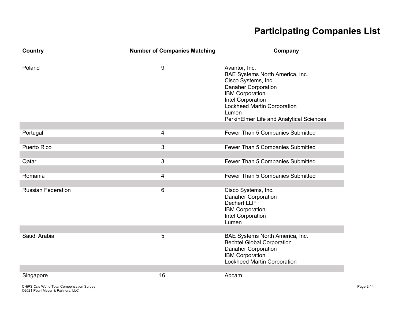| Country                   | <b>Number of Companies Matching</b> | Company                                                                                                                                                                                                                                  |
|---------------------------|-------------------------------------|------------------------------------------------------------------------------------------------------------------------------------------------------------------------------------------------------------------------------------------|
| Poland                    | 9                                   | Avantor, Inc.<br>BAE Systems North America, Inc.<br>Cisco Systems, Inc.<br><b>Danaher Corporation</b><br><b>IBM Corporation</b><br>Intel Corporation<br>Lockheed Martin Corporation<br>Lumen<br>PerkinElmer Life and Analytical Sciences |
| Portugal                  | $\overline{4}$                      | Fewer Than 5 Companies Submitted                                                                                                                                                                                                         |
| <b>Puerto Rico</b>        | 3                                   | Fewer Than 5 Companies Submitted                                                                                                                                                                                                         |
| Qatar                     | 3                                   | Fewer Than 5 Companies Submitted                                                                                                                                                                                                         |
| Romania                   | $\overline{4}$                      | Fewer Than 5 Companies Submitted                                                                                                                                                                                                         |
| <b>Russian Federation</b> | 6                                   | Cisco Systems, Inc.<br><b>Danaher Corporation</b><br><b>Dechert LLP</b><br><b>IBM Corporation</b><br>Intel Corporation<br>Lumen                                                                                                          |
| Saudi Arabia              | 5                                   | BAE Systems North America, Inc.<br><b>Bechtel Global Corporation</b><br><b>Danaher Corporation</b><br><b>IBM Corporation</b><br><b>Lockheed Martin Corporation</b>                                                                       |
| Singapore                 | 16                                  | Abcam                                                                                                                                                                                                                                    |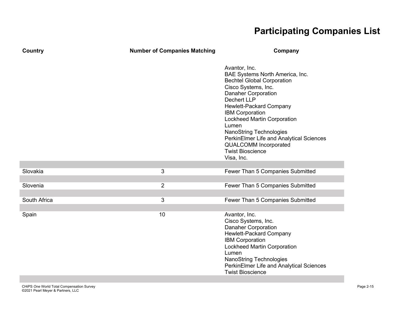| Country      | <b>Number of Companies Matching</b> | Company                                                                                                                                                                                                                                                                                                                                                                                                                     |
|--------------|-------------------------------------|-----------------------------------------------------------------------------------------------------------------------------------------------------------------------------------------------------------------------------------------------------------------------------------------------------------------------------------------------------------------------------------------------------------------------------|
|              |                                     | Avantor, Inc.<br>BAE Systems North America, Inc.<br><b>Bechtel Global Corporation</b><br>Cisco Systems, Inc.<br><b>Danaher Corporation</b><br><b>Dechert LLP</b><br>Hewlett-Packard Company<br><b>IBM Corporation</b><br><b>Lockheed Martin Corporation</b><br>Lumen<br><b>NanoString Technologies</b><br>PerkinElmer Life and Analytical Sciences<br><b>QUALCOMM Incorporated</b><br><b>Twist Bioscience</b><br>Visa, Inc. |
| Slovakia     | 3                                   | Fewer Than 5 Companies Submitted                                                                                                                                                                                                                                                                                                                                                                                            |
|              |                                     |                                                                                                                                                                                                                                                                                                                                                                                                                             |
| Slovenia     | $\overline{2}$                      | Fewer Than 5 Companies Submitted                                                                                                                                                                                                                                                                                                                                                                                            |
|              |                                     |                                                                                                                                                                                                                                                                                                                                                                                                                             |
| South Africa | 3                                   | Fewer Than 5 Companies Submitted                                                                                                                                                                                                                                                                                                                                                                                            |
| Spain        | 10                                  | Avantor, Inc.<br>Cisco Systems, Inc.<br><b>Danaher Corporation</b><br><b>Hewlett-Packard Company</b><br><b>IBM Corporation</b><br><b>Lockheed Martin Corporation</b><br>Lumen<br>NanoString Technologies<br>PerkinElmer Life and Analytical Sciences<br><b>Twist Bioscience</b>                                                                                                                                             |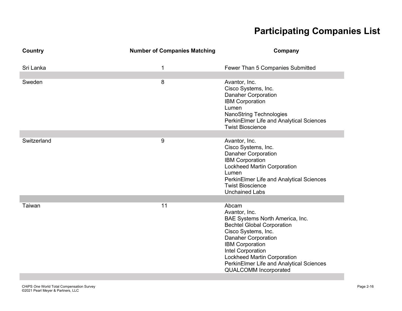| <b>Country</b> | <b>Number of Companies Matching</b> | Company                                                                                                                                                                                                                                                                                                              |
|----------------|-------------------------------------|----------------------------------------------------------------------------------------------------------------------------------------------------------------------------------------------------------------------------------------------------------------------------------------------------------------------|
| Sri Lanka      | 1                                   | Fewer Than 5 Companies Submitted                                                                                                                                                                                                                                                                                     |
| Sweden         | 8                                   | Avantor, Inc.<br>Cisco Systems, Inc.<br><b>Danaher Corporation</b><br><b>IBM Corporation</b><br>Lumen<br><b>NanoString Technologies</b><br>PerkinElmer Life and Analytical Sciences<br><b>Twist Bioscience</b>                                                                                                       |
|                |                                     |                                                                                                                                                                                                                                                                                                                      |
| Switzerland    | 9                                   | Avantor, Inc.<br>Cisco Systems, Inc.<br><b>Danaher Corporation</b><br><b>IBM Corporation</b><br><b>Lockheed Martin Corporation</b><br>Lumen<br>PerkinElmer Life and Analytical Sciences<br><b>Twist Bioscience</b><br><b>Unchained Labs</b>                                                                          |
| Taiwan         | 11                                  | Abcam<br>Avantor, Inc.<br>BAE Systems North America, Inc.<br><b>Bechtel Global Corporation</b><br>Cisco Systems, Inc.<br><b>Danaher Corporation</b><br><b>IBM Corporation</b><br>Intel Corporation<br><b>Lockheed Martin Corporation</b><br>PerkinElmer Life and Analytical Sciences<br><b>QUALCOMM Incorporated</b> |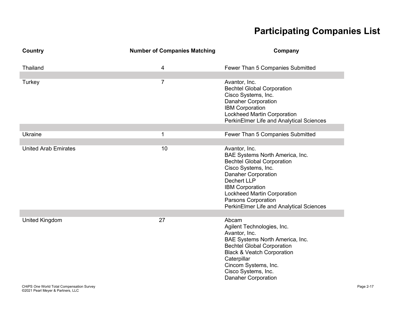| Country                     | <b>Number of Companies Matching</b> | Company                                                                                                                                                                                                                                                                                             |
|-----------------------------|-------------------------------------|-----------------------------------------------------------------------------------------------------------------------------------------------------------------------------------------------------------------------------------------------------------------------------------------------------|
| Thailand                    | 4                                   | Fewer Than 5 Companies Submitted                                                                                                                                                                                                                                                                    |
| Turkey                      | $\overline{7}$                      | Avantor, Inc.<br><b>Bechtel Global Corporation</b><br>Cisco Systems, Inc.<br><b>Danaher Corporation</b><br><b>IBM Corporation</b><br><b>Lockheed Martin Corporation</b><br>PerkinElmer Life and Analytical Sciences                                                                                 |
| <b>Ukraine</b>              | 1                                   | Fewer Than 5 Companies Submitted                                                                                                                                                                                                                                                                    |
| <b>United Arab Emirates</b> | 10                                  | Avantor, Inc.<br>BAE Systems North America, Inc.<br><b>Bechtel Global Corporation</b><br>Cisco Systems, Inc.<br><b>Danaher Corporation</b><br><b>Dechert LLP</b><br><b>IBM Corporation</b><br><b>Lockheed Martin Corporation</b><br>Parsons Corporation<br>PerkinElmer Life and Analytical Sciences |
| <b>United Kingdom</b>       | 27                                  | Abcam<br>Agilent Technologies, Inc.<br>Avantor, Inc.<br>BAE Systems North America, Inc.<br><b>Bechtel Global Corporation</b><br><b>Black &amp; Veatch Corporation</b><br>Caterpillar<br>Cincom Systems, Inc.<br>Cisco Systems, Inc.<br><b>Danaher Corporation</b>                                   |